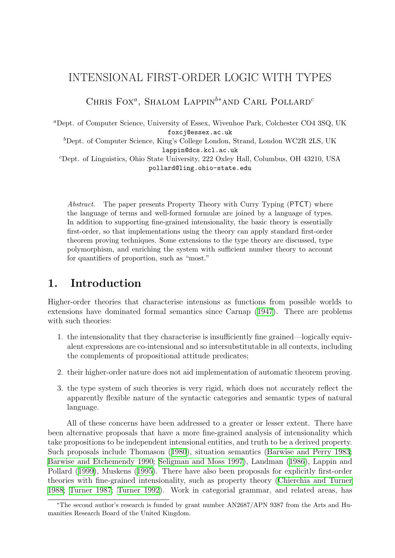## INTENSIONAL FIRST-ORDER LOGIC WITH TYPES

CHRIS FOX<sup>a</sup>, SHALOM LAPPIN<sup>b</sup>\*AND CARL POLLARD<sup>c</sup>

<sup>a</sup>Dept. of Computer Science, University of Essex, Wivenhoe Park, Colchester CO4 3SQ, UK foxcj@essex.ac.uk

<sup>b</sup>Dept. of Computer Science, King's College London, Strand, London WC2R 2LS, UK lappin@dcs.kcl.ac.uk

 $c<sup>c</sup>$ Dept. of Linguistics, Ohio State University, 222 Oxley Hall, Columbus, OH 43210, USA pollard@ling.ohio-state.edu

Abstract. The paper presents Property Theory with Curry Typing (PTCT) where the language of terms and well-formed formulæ are joined by a language of types. In addition to supporting fine-grained intensionality, the basic theory is essentially first-order, so that implementations using the theory can apply standard first-order theorem proving techniques. Some extensions to the type theory are discussed, type polymorphism, and enriching the system with sufficient number theory to account for quantifiers of proportion, such as "most."

## 1. Introduction

Higher-order theories that characterise intensions as functions from possible worlds to extensions have dominated formal semantics since Carnap([1947](#page-8-0)). There are problems with such theories:

- 1. the intensionality that they characterise is insufficiently fine grained—logically equivalent expressions are co-intensional and so intersubstitutable in all contexts, including the complements of propositional attitude predicates;
- 2. their higher-order nature does not aid implementation of automatic theorem proving.
- 3. the type system of such theories is very rigid, which does not accurately reflect the apparently flexible nature of the syntactic categories and semantic types of natural language.

All of these concerns have been addressed to a greater or lesser extent. There have been alternative proposals that have a more fine-grained analysis of intensionality which take propositions to be independent intensional entities, and truth to be a derived property. Such proposals include Thomason([1980](#page-9-0)), situation semantics([Barwise and Perry 1983;](#page-8-1) [Barwise and Etchemendy 1990](#page-8-2); [Seligman and Moss 1997](#page-9-1)), Landman [\(1986](#page-9-2)), Lappin and Pollard([1999](#page-9-3)), Muskens([1995\)](#page-9-4). There have also been proposals for explicitly first-order theories with fine-grained intensionality, such as property theory [\(Chierchia and Turner](#page-8-3) [1988](#page-8-3); [Turner 1987;](#page-9-5) [Turner 1992](#page-9-6)). Work in categorial grammar, and related areas, has

<sup>∗</sup>The second author's research is funded by grant number AN2687/APN 9387 from the Arts and Humanities Research Board of the United Kingdom.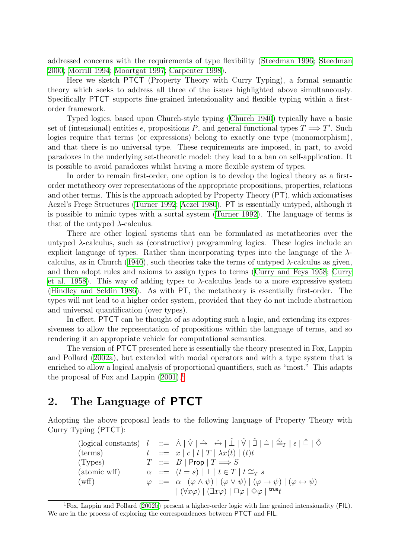addressed concerns with the requirements of type flexibility([Steedman 1996](#page-9-7); [Steedman](#page-9-8) [2000](#page-9-8); [Morrill 1994](#page-9-9); [Moortgat 1997;](#page-9-10) [Carpenter 1998\)](#page-8-4).

Here we sketch PTCT (Property Theory with Curry Typing), a formal semantic theory which seeks to address all three of the issues highlighted above simultaneously. Specifically PTCT supports fine-grained intensionality and flexible typing within a firstorder framework.

Typed logics, based upon Church-style typing [\(Church 1940](#page-8-5)) typically have a basic set of (intensional) entities e, propositions P, and general functional types  $T \Longrightarrow T'$ . Such logics require that terms (or expressions) belong to exactly one type (monomorphism), and that there is no universal type. These requirements are imposed, in part, to avoid paradoxes in the underlying set-theoretic model: they lead to a ban on self-application. It is possible to avoid paradoxes whilst having a more flexible system of types.

In order to remain first-order, one option is to develop the logical theory as a firstorder metatheory over representations of the appropriate propositions, properties, relations and other terms. This is the approach adopted by Property Theory (PT), which axiomatises Aczel's Frege Structures [\(Turner 1992](#page-9-6); [Aczel 1980\)](#page-8-6). PT is essentially untyped, although it is possible to mimic types with a sortal system [\(Turner 1992\)](#page-9-6). The language of terms is that of the untyped  $\lambda$ -calculus.

There are other logical systems that can be formulated as metatheories over the untyped  $\lambda$ -calculus, such as (constructive) programming logics. These logics include an explicit language of types. Rather than incorporating types into the language of the  $\lambda$ -calculus, as in Church [\(1940\)](#page-8-5), such theories take the terms of untyped  $\lambda$ -calculus as given, and then adopt rules and axioms to assign types to terms([Curry and Feys 1958;](#page-8-7) [Curry](#page-8-8) [et al. 1958](#page-8-8)). This way of adding types to  $\lambda$ -calculus leads to a more expressive system ([Hindley and Seldin 1986](#page-9-11)). As with PT, the metatheory is essentially first-order. The types will not lead to a higher-order system, provided that they do not include abstraction and universal quantification (over types).

In effect, PTCT can be thought of as adopting such a logic, and extending its expressiveness to allow the representation of propositions within the language of terms, and so rendering it an appropriate vehicle for computational semantics.

The version of PTCT presented here is essentially the theory presented in Fox, Lappin and Pollard [\(2002a](#page-9-12)), but extended with modal operators and with a type system that is enriched to allow a logical analysis of proportional quantifiers, such as "most." This adapts the proposal of Fox and Lappin  $(2001).<sup>1</sup>$  $(2001).<sup>1</sup>$  $(2001).<sup>1</sup>$ 

# 2. The Language of PTCT

Adopting the above proposal leads to the following language of Property Theory with Curry Typing (PTCT):

|                       |  | (logical constants) $l := \hat{\Lambda}  \hat{V}  \hat{\rightarrow}  \hat{\leftrightarrow}  \hat{I}  \hat{V}  \hat{I}  \hat{I}  \hat{e}  \hat{e}_T  \hat{e}  \hat{U}  \hat{\diamond}$ |
|-----------------------|--|---------------------------------------------------------------------------------------------------------------------------------------------------------------------------------------|
| $(\text{terms})$      |  | $t$ ::= $x   c   l   T   \lambda x(t)   (t)t$                                                                                                                                         |
| (Types)               |  | $T \ ::= B  $ Prop $ T \Longrightarrow S $                                                                                                                                            |
| $(\text{atomic wff})$ |  | $\alpha$ : $(t = s)$ $\perp$ $t \in T$ $t \cong_T s$                                                                                                                                  |
| (wff)                 |  | $\varphi \ ::= \alpha \mid (\varphi \land \psi) \mid (\varphi \lor \psi) \mid (\varphi \to \psi) \mid (\varphi \leftrightarrow \psi)$                                                 |
|                       |  | $ \left(\forall x \varphi\right)  \left(\exists x \varphi\right)  \Box \varphi  \Diamond \varphi $ true t                                                                             |

<span id="page-1-0"></span><sup>&</sup>lt;sup>1</sup>Fox,Lappin and Pollard ([2002b](#page-9-14)) present a higher-order logic with fine grained intensionality (FIL). We are in the process of exploring the correspondences between PTCT and FIL.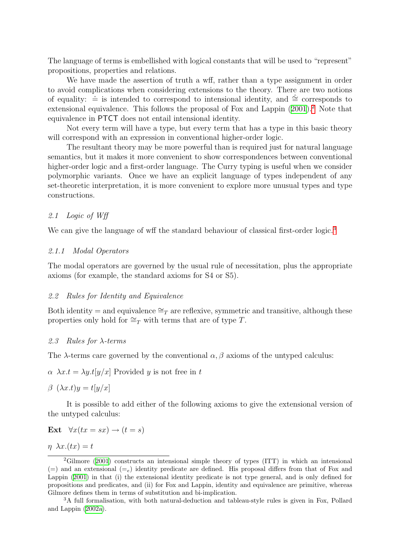The language of terms is embellished with logical constants that will be used to "represent" propositions, properties and relations.

We have made the assertion of truth a wff, rather than a type assignment in order to avoid complications when considering extensions to the theory. There are two notions of equality:  $\hat{=}$  is intended to correspond to intensional identity, and  $\hat{=}$  corresponds to extensionalequivalence. This follows the proposal of Fox and Lappin ([2001](#page-9-13)).<sup>[2](#page-2-0)</sup> Note that equivalence in PTCT does not entail intensional identity.

Not every term will have a type, but every term that has a type in this basic theory will correspond with an expression in conventional higher-order logic.

The resultant theory may be more powerful than is required just for natural language semantics, but it makes it more convenient to show correspondences between conventional higher-order logic and a first-order language. The Curry typing is useful when we consider polymorphic variants. Once we have an explicit language of types independent of any set-theoretic interpretation, it is more convenient to explore more unusual types and type constructions.

## 2.1 Logic of Wff

We can give the language of wff the standard behaviour of classical first-order logic.<sup>[3](#page-2-1)</sup>

## 2.1.1 Modal Operators

The modal operators are governed by the usual rule of necessitation, plus the appropriate axioms (for example, the standard axioms for S4 or S5).

## 2.2 Rules for Identity and Equivalence

Both identity = and equivalence  $\cong_T$  are reflexive, symmetric and transitive, although these properties only hold for  $\cong_T$  with terms that are of type T.

## 2.3 Rules for λ-terms

The  $\lambda$ -terms care governed by the conventional  $\alpha$ ,  $\beta$  axioms of the untyped calculus:

 $\alpha \lambda x.t = \lambda y.t[y/x]$  Provided y is not free in t

$$
\beta \ (\lambda x.t)y = t[y/x]
$$

It is possible to add either of the following axioms to give the extensional version of the untyped calculus:

$$
Ext \quad \forall x (tx = sx) \rightarrow (t = s)
$$

 $\eta \lambda x.(tx) = t$ 

<span id="page-2-0"></span><sup>&</sup>lt;sup>2</sup>Gilmore [\(2001\)](#page-9-15) constructs an intensional simple theory of types (ITT) in which an intensional  $(=)$  and an extensional  $(=_e)$  identity predicate are defined. His proposal differs from that of Fox and Lappin([2001](#page-9-13)) in that (i) the extensional identity predicate is not type general, and is only defined for propositions and predicates, and (ii) for Fox and Lappin, identity and equivalence are primitive, whereas Gilmore defines them in terms of substitution and bi-implication.

<span id="page-2-1"></span><sup>3</sup>A full formalisation, with both natural-deduction and tableau-style rules is given in Fox, Pollard and Lappin [\(2002a](#page-9-12)).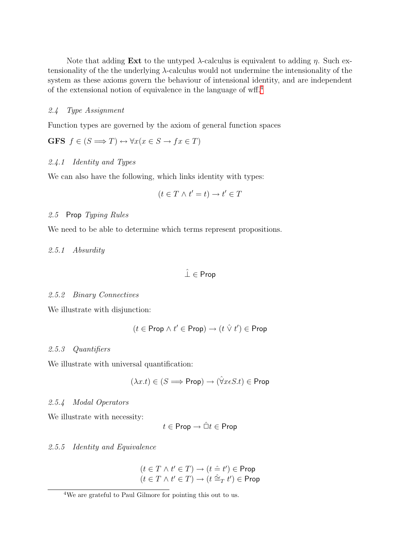Note that adding **Ext** to the untyped  $\lambda$ -calculus is equivalent to adding  $\eta$ . Such extensionality of the the underlying  $\lambda$ -calculus would not undermine the intensionality of the system as these axioms govern the behaviour of intensional identity, and are independent of the extensional notion of equivalence in the language of wff.[4](#page-3-0)

## 2.4 Type Assignment

Function types are governed by the axiom of general function spaces

GFS  $f \in (S \implies T) \leftrightarrow \forall x (x \in S \rightarrow fx \in T)$ 

## 2.4.1 Identity and Types

We can also have the following, which links identity with types:

$$
(t \in T \land t' = t) \to t' \in T
$$

## 2.5 Prop Typing Rules

We need to be able to determine which terms represent propositions.

2.5.1 Absurdity

 $\hat{\perp} \in$  Prop

#### 2.5.2 Binary Connectives

We illustrate with disjunction:

$$
(t \in \mathsf{Prop} \land t' \in \mathsf{Prop}) \rightarrow (t \lor t') \in \mathsf{Prop}
$$

#### 2.5.3 Quantifiers

We illustrate with universal quantification:

$$
(\lambda x.t) \in (S \Longrightarrow \mathsf{Prop}) \rightarrow (\hat{\forall} x \epsilon S.t) \in \mathsf{Prop}
$$

## 2.5.4 Modal Operators

We illustrate with necessity:

$$
t\in\mathsf{Prop}\to \hat{\Box} t\in\mathsf{Prop}
$$

#### 2.5.5 Identity and Equivalence

$$
(t \in T \land t' \in T) \rightarrow (t \hat{=} t') \in \text{Prop}
$$

$$
(t \in T \land t' \in T) \rightarrow (t \hat{=}_T t') \in \text{Prop}
$$

<span id="page-3-0"></span><sup>4</sup>We are grateful to Paul Gilmore for pointing this out to us.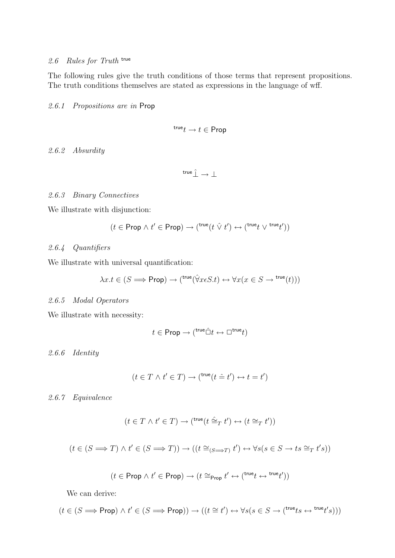## 2.6 Rules for Truth true

The following rules give the truth conditions of those terms that represent propositions. The truth conditions themselves are stated as expressions in the language of wff.

2.6.1 Propositions are in Prop

$$
^{true}t \rightarrow t \in \mathsf{Prop}
$$

2.6.2 Absurdity

true $\hat{\perp} \rightarrow \perp$ 

#### 2.6.3 Binary Connectives

We illustrate with disjunction:

$$
(t \in \text{Prop} \land t' \in \text{Prop}) \rightarrow (\text{true}(t \lor t') \leftrightarrow (\text{true}t \lor \text{true}t'))
$$

## 2.6.4 Quantifiers

We illustrate with universal quantification:

$$
\lambda x.t \in (S \Longrightarrow \mathsf{Prop}) \rightarrow (^{\mathsf{true}}(\hat{\forall} x \epsilon S.t) \leftrightarrow \forall x(x \in S \rightarrow {}^{\mathsf{true}}(t)))
$$

## 2.6.5 Modal Operators

We illustrate with necessity:

$$
t \in \mathsf{Prop} \to (\mathsf{true} \hat{\sqcup} t \leftrightarrow \sqcup^{\mathsf{true}} t)
$$

2.6.6 Identity

$$
(t \in T \land t' \in T) \to (\text{true}(t \hat{=} t') \leftrightarrow t = t')
$$

2.6.7 Equivalence

$$
(t \in T \land t' \in T) \to (\text{true}(t \stackrel{\triangle}{=} T t') \leftrightarrow (t \stackrel{\triangle}{=} T t'))
$$

$$
(t \in (S \implies T) \land t' \in (S \implies T)) \to ((t \cong_{(S \implies T)} t') \leftrightarrow \forall s (s \in S \to ts \cong_T t's))
$$

$$
(t \in \text{Prop} \land t' \in \text{Prop}) \rightarrow (t \cong_{\text{Prop}} t' \leftrightarrow ({}^{\text{true}}t \leftrightarrow {}^{\text{true}}t'))
$$

We can derive:

$$
(t \in (S \Longrightarrow \mathsf{Prop}) \land t' \in (S \Longrightarrow \mathsf{Prop})) \rightarrow ((t \cong t') \leftrightarrow \forall s(s \in S \rightarrow ({}^{true}ts \leftrightarrow {}^{true}t's)))
$$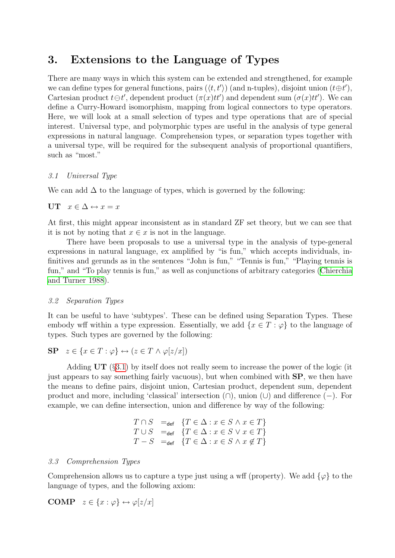# 3. Extensions to the Language of Types

There are many ways in which this system can be extended and strengthened, for example we can define types for general functions, pairs  $(\langle t, t' \rangle)$  (and n-tuples), disjoint union  $(t \oplus t')$ , Cartesian product  $t \ominus t'$ , dependent product  $(\pi(x)tt')$  and dependent sum  $(\sigma(x)tt')$ . We can define a Curry-Howard isomorphism, mapping from logical connectors to type operators. Here, we will look at a small selection of types and type operations that are of special interest. Universal type, and polymorphic types are useful in the analysis of type general expressions in natural language. Comprehension types, or separation types together with a universal type, will be required for the subsequent analysis of proportional quantifiers, such as "most."

## <span id="page-5-0"></span>3.1 Universal Type

We can add  $\Delta$  to the language of types, which is governed by the following:

UT  $x \in \Delta \leftrightarrow x = x$ 

At first, this might appear inconsistent as in standard ZF set theory, but we can see that it is not by noting that  $x \in \mathcal{X}$  is not in the language.

There have been proposals to use a universal type in the analysis of type-general expressions in natural language, ex amplified by "is fun," which accepts individuals, infinitives and gerunds as in the sentences "John is fun," "Tennis is fun," "Playing tennis is fun," and "To play tennis is fun," as well as conjunctions of arbitrary categories([Chierchia](#page-8-3) [and Turner 1988\)](#page-8-3).

## <span id="page-5-2"></span>3.2 Separation Types

It can be useful to have 'subtypes'. These can be defined using Separation Types. These embody wff within a type expression. Essentially, we add  $\{x \in T : \varphi\}$  to the language of types. Such types are governed by the following:

$$
\mathbf{SP} \quad z \in \{x \in T : \varphi\} \leftrightarrow (z \in T \land \varphi[z/x])
$$

Adding  $UT$  (§[3.1](#page-5-0)) by itself does not really seem to increase the power of the logic (it just appears to say something fairly vacuous), but when combined with SP, we then have the means to define pairs, disjoint union, Cartesian product, dependent sum, dependent product and more, including 'classical' intersection (∩), union (∪) and difference (−). For example, we can define intersection, union and difference by way of the following:

$$
\begin{array}{ll}\nT \cap S & =_{\text{def}} \{T \in \Delta : x \in S \land x \in T\} \\
T \cup S & =_{\text{def}} \{T \in \Delta : x \in S \lor x \in T\} \\
T - S & =_{\text{def}} \{T \in \Delta : x \in S \land x \notin T\}\n\end{array}
$$

## <span id="page-5-1"></span>3.3 Comprehension Types

Comprehension allows us to capture a type just using a wff (property). We add  $\{\varphi\}$  to the language of types, and the following axiom:

COMP  $z \in \{x : \varphi\} \leftrightarrow \varphi[z/x]$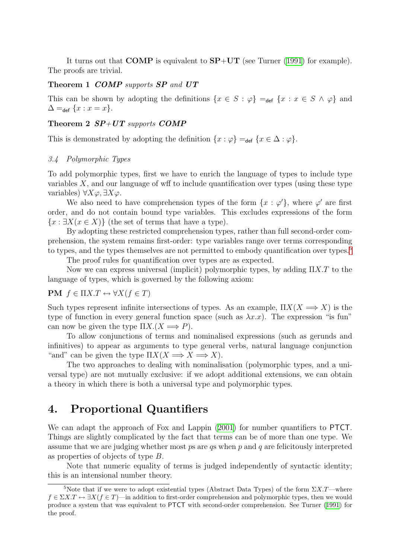Itturns out that **COMP** is equivalent to  $SP+UT$  (see Turner ([1991](#page-9-16)) for example). The proofs are trivial.

## Theorem 1 COMP supports SP and UT

This can be shown by adopting the definitions  $\{x \in S : \varphi\} =_{def} \{x : x \in S \land \varphi\}$  and  $\Delta =_{def} \{x : x = x\}.$ 

## Theorem 2  $SP+UT$  supports  $COMP$

This is demonstrated by adopting the definition  $\{x : \varphi\} =_{def} \{x \in \Delta : \varphi\}.$ 

### <span id="page-6-1"></span>3.4 Polymorphic Types

To add polymorphic types, first we have to enrich the language of types to include type variables  $X$ , and our language of wff to include quantification over types (using these type variables)  $\forall X \varphi, \exists X \varphi$ .

We also need to have comprehension types of the form  $\{x : \varphi'\}$ , where  $\varphi'$  are first order, and do not contain bound type variables. This excludes expressions of the form  ${x : \exists X (x \in X)}$  (the set of terms that have a type).

By adopting these restricted comprehension types, rather than full second-order comprehension, the system remains first-order: type variables range over terms corresponding to types, and the types themselves are not permitted to embody quantification over types.<sup>[5](#page-6-0)</sup>

The proof rules for quantification over types are as expected.

Now we can express universal (implicit) polymorphic types, by adding  $\Pi X.T$  to the language of types, which is governed by the following axiom:

## $PM f \in \Pi X.T \leftrightarrow \forall X (f \in T)$

Such types represent infinite intersections of types. As an example,  $\Pi X(X \Longrightarrow X)$  is the type of function in every general function space (such as  $\lambda x.x$ ). The expression "is fun" can now be given the type  $\Pi X$ .  $(X \Longrightarrow P)$ .

To allow conjunctions of terms and nominalised expressions (such as gerunds and infinitives) to appear as arguments to type general verbs, natural language conjunction "and" can be given the type  $\Pi X(X \Longrightarrow X \Longrightarrow X)$ .

The two approaches to dealing with nominalisation (polymorphic types, and a universal type) are not mutually exclusive: if we adopt additional extensions, we can obtain a theory in which there is both a universal type and polymorphic types.

## 4. Proportional Quantifiers

We can adapt the approach of Fox and Lappin [\(2001\)](#page-9-13) for number quantifiers to PTCT. Things are slightly complicated by the fact that terms can be of more than one type. We assume that we are judging whether most  $p$ s are  $q$ s when  $p$  and  $q$  are felicitously interpreted as properties of objects of type B.

Note that numeric equality of terms is judged independently of syntactic identity; this is an intensional number theory.

<span id="page-6-0"></span><sup>&</sup>lt;sup>5</sup>Note that if we were to adopt existential types (Abstract Data Types) of the form  $\Sigma X.T$ —where  $f \in \Sigma X$ .  $T \leftrightarrow \exists X (f \in T)$ —in addition to first-order comprehension and polymorphic types, then we would produce a system that was equivalent to PTCT with second-order comprehension. See Turner([1991\)](#page-9-16) for the proof.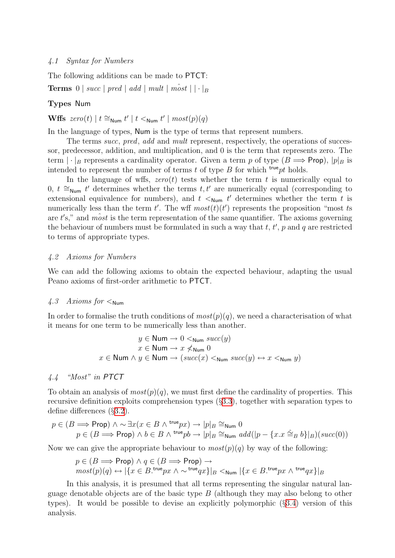## 4.1 Syntax for Numbers

The following additions can be made to PTCT:

**Terms**  $0 \mid succ \mid pred \mid add \mid mult \mid most \mid \cdot \mid_B$ 

#### Types Num

Wffs  $zero(t) | t \cong_{Num} t' | t <_{Num} t' | most(p)(q)$ 

In the language of types, Num is the type of terms that represent numbers.

The terms succ, pred, add and mult represent, respectively, the operations of successor, predecessor, addition, and multiplication, and 0 is the term that represents zero. The term  $|\cdot|_B$  represents a cardinality operator. Given a term p of type  $(B \implies \text{Prop})$ ,  $|p|_B$  is intended to represent the number of terms t of type  $B$  for which true pt holds.

In the language of wffs,  $zero(t)$  tests whether the term t is numerically equal to 0,  $t \cong_{\text{Num}} t'$  determines whether the terms  $t, t'$  are numerically equal (corresponding to extensional equivalence for numbers), and  $t <_{\text{Num}} t'$  determines whether the term  $t$  is numerically less than the term t'. The wff  $most(t)(t')$  represents the proposition "most ts are  $t$ 's," and  $m\hat{o}st$  is the term representation of the same quantifier. The axioms governing the behaviour of numbers must be formulated in such a way that  $t, t', p$  and  $q$  are restricted to terms of appropriate types.

#### 4.2 Axioms for Numbers

We can add the following axioms to obtain the expected behaviour, adapting the usual Peano axioms of first-order arithmetic to PTCT.

## 4.3 Axioms for  $\leq_{\text{Num}}$

In order to formalise the truth conditions of  $most(p)(q)$ , we need a characterisation of what it means for one term to be numerically less than another.

$$
y \in \text{Num} \to 0 <_{\text{Num}} succ(y)
$$
\n
$$
x \in \text{Num} \to x \nless_{\text{Num}} 0
$$
\n
$$
x \in \text{Num} \land y \in \text{Num} \to (succ(x) <_{\text{Num}} succ(y) \leftrightarrow x <_{\text{Num}} y)
$$

## 4.4 "Most" in PTCT

To obtain an analysis of  $most(p)(q)$ , we must first define the cardinality of properties. This recursive definition exploits comprehension types (§[3.3\)](#page-5-1), together with separation types to define differences (§[3.2\)](#page-5-2).

$$
p \in (B \Longrightarrow \text{Prop}) \land \sim \exists x (x \in B \land {}^{\text{true}}px) \rightarrow |p|_B \cong_{\text{Num}} 0
$$
  

$$
p \in (B \Longrightarrow \text{Prop}) \land b \in B \land {}^{\text{true}}pb \rightarrow |p|_B \cong_{\text{Num}} add(|p - \{x.x \stackrel{\sim}{\cong}_B b\}|_B)(succ(0))
$$

Now we can give the appropriate behaviour to  $most(p)(q)$  by way of the following:

$$
p \in (B \Longrightarrow \text{Prop}) \land q \in (B \Longrightarrow \text{Prop}) \rightarrow \\ most(p)(q) \leftrightarrow |\{x \in B.\text{true}_{px} \land \sim \text{true}_{qx}\}|_B <_{\text{Num}} |\{x \in B.\text{true}_{px} \land \text{true}_{qx}\}|_B
$$

In this analysis, it is presumed that all terms representing the singular natural language denotable objects are of the basic type  $B$  (although they may also belong to other types). It would be possible to devise an explicitly polymorphic (§[3.4\)](#page-6-1) version of this analysis.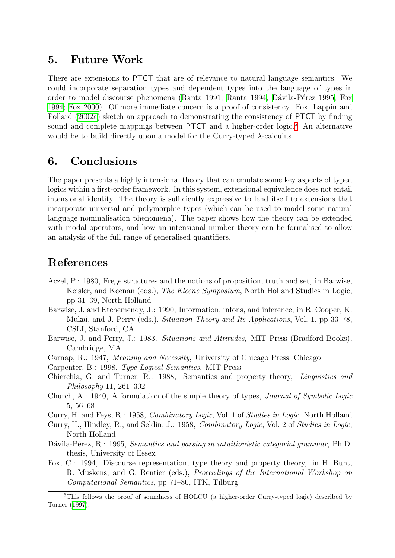## 5. Future Work

There are extensions to PTCT that are of relevance to natural language semantics. We could incorporate separation types and dependent types into the language of types in orderto model discourse phenomena ([Ranta 1991](#page-9-17); [Ranta 1994](#page-9-18); Dávila-Pérez 1995; [Fox](#page-8-10) [1994](#page-8-10); [Fox 2000](#page-9-19)). Of more immediate concern is a proof of consistency. Fox, Lappin and Pollard [\(2002a\)](#page-9-12) sketch an approach to demonstrating the consistency of PTCT by finding sound and complete mappings between  $\text{PTCT}$  and a higher-order logic.<sup>[6](#page-8-11)</sup> An alternative would be to build directly upon a model for the Curry-typed λ-calculus.

# 6. Conclusions

The paper presents a highly intensional theory that can emulate some key aspects of typed logics within a first-order framework. In this system, extensional equivalence does not entail intensional identity. The theory is sufficiently expressive to lend itself to extensions that incorporate universal and polymorphic types (which can be used to model some natural language nominalisation phenomena). The paper shows how the theory can be extended with modal operators, and how an intensional number theory can be formalised to allow an analysis of the full range of generalised quantifiers.

# References

- <span id="page-8-6"></span>Aczel, P.: 1980, Frege structures and the notions of proposition, truth and set, in Barwise, Keisler, and Keenan (eds.), The Kleene Symposium, North Holland Studies in Logic, pp 31–39, North Holland
- <span id="page-8-2"></span>Barwise, J. and Etchemendy, J.: 1990, Information, infons, and inference, in R. Cooper, K. Mukai, and J. Perry (eds.), Situation Theory and Its Applications, Vol. 1, pp 33–78, CSLI, Stanford, CA
- <span id="page-8-1"></span>Barwise, J. and Perry, J.: 1983, Situations and Attitudes, MIT Press (Bradford Books), Cambridge, MA
- Carnap, R.: 1947, Meaning and Necessity, University of Chicago Press, Chicago
- <span id="page-8-0"></span>Carpenter, B.: 1998, Type-Logical Semantics, MIT Press
- <span id="page-8-4"></span><span id="page-8-3"></span>Chierchia, G. and Turner, R.: 1988, Semantics and property theory, Linguistics and Philosophy 11, 261–302
- <span id="page-8-5"></span>Church, A.: 1940, A formulation of the simple theory of types, Journal of Symbolic Logic 5, 56–68
- Curry, H. and Feys, R.: 1958, Combinatory Logic, Vol. 1 of Studies in Logic, North Holland
- <span id="page-8-8"></span><span id="page-8-7"></span>Curry, H., Hindley, R., and Seldin, J.: 1958, Combinatory Logic, Vol. 2 of Studies in Logic, North Holland
- <span id="page-8-9"></span>Dávila-Pérez, R.: 1995, Semantics and parsing in intuitionistic categorial grammar, Ph.D. thesis, University of Essex
- <span id="page-8-10"></span>Fox, C.: 1994, Discourse representation, type theory and property theory, in H. Bunt, R. Muskens, and G. Rentier (eds.), Proceedings of the International Workshop on Computational Semantics, pp 71–80, ITK, Tilburg

<span id="page-8-11"></span><sup>6</sup>This follows the proof of soundness of HOLCU (a higher-order Curry-typed logic) described by Turner([1997\)](#page-9-20).